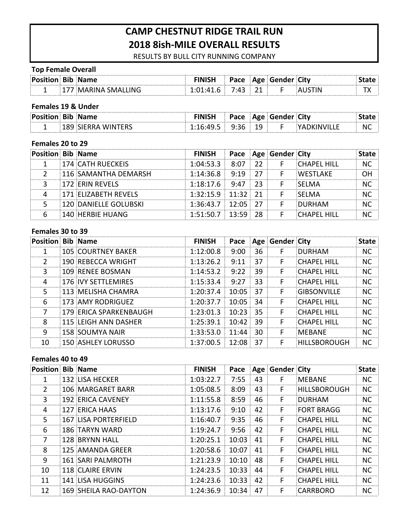# **CAMP CHESTNUT RIDGE TRAIL RUN 2018 8ish-MILE OVERALL RESULTS**

RESULTS BY BULL CITY RUNNING COMPANY

#### **Top Female Overall**

| ∶P∩c |     | המגיי | AGA 15AM<br><u> U – I</u> | ner : | Citv |  |
|------|-----|-------|---------------------------|-------|------|--|
|      | ING |       |                           |       |      |  |

#### **Females 19 & Under**

| .<br><u>Posi</u><br>чин . | . Bib Name |     |         | <b>Pace Age Gender C</b> | Citv |           |
|---------------------------|------------|-----|---------|--------------------------|------|-----------|
| -                         | .          | . . | u<br>-- |                          |      | <b>NC</b> |

### Females 20 to 29

| <b>Position Bib Name</b> |                             | <b>FINISH</b>         |  | <b>Pace Age Gender City</b> |                    |    |
|--------------------------|-----------------------------|-----------------------|--|-----------------------------|--------------------|----|
|                          | <b>174 CATH RUECKEIS</b>    | $1:04:53.3$ $8:07$ 22 |  |                             | <b>CHAPFL HILL</b> |    |
|                          | $\pm 116$ SAMANTHA DEMARSH  | $1:14:36.8$ 9:19 27   |  |                             | <b>WESTI AKE</b>   | nн |
|                          | <b>172 ERIN REVELS</b>      | $1:18:17.6$ 9:47 23   |  |                             | <b>ISELMA</b>      |    |
|                          | <b>171 ELIZABETH REVELS</b> | $1:32:15.9$ 11:32 21  |  |                             | <b>ISELMA</b>      |    |
|                          | 120 DANIFLLF GOLUBSKI       | $1:36:43.7$ 12:05 27  |  |                             | <b>DURHAM</b>      | NC |
|                          | 140 HERBIE HUANG            | $1:51:50.7$ 13:59 28  |  |                             | CHAPFI HILL        |    |

#### Females 30 to 39

| <b>Position Bib Name</b> |                            | <b>FINISH</b>        |          |     | Pace   Age   Gender   City |                     | <b>State</b> |
|--------------------------|----------------------------|----------------------|----------|-----|----------------------------|---------------------|--------------|
|                          | <b>105 COURTNEY BAKER</b>  | 1:12:00.8            | 9:00     | 36  | F                          | DURHAM              | NC.          |
| $\mathcal{L}$            | 190 REBECCA WRIGHT         | 1:13:26.2            | 9:11     | 37  | F                          | <b>CHAPFL HILL</b>  | NC.          |
| 3                        | 109 RENFE BOSMAN           | 1:14:53.2            | 9:22     | 39  | F                          | <b>CHAPFL HILL</b>  | NC.          |
| 4                        | <b>176 IVY SETTLEMIRES</b> | 1:15:33.4            | 9:27     | 33  | F                          | <b>CHAPFL HILL</b>  | NC.          |
| 5                        | 113 MELISHA CHAMRA         | 1:20:37.4            | 10:05:37 |     | F                          | <b>GIBSONVILLE</b>  | NC.          |
| 6                        | 173 AMY RODRIGUEZ          | 1:20:37.7            | 10:05    | 34  | F                          | <b>CHAPEL HILL</b>  | <b>NC</b>    |
| 7                        | 179 ERICA SPARKENBAUGH     | 1:23:01.3            | 10:23:   | 35  | F                          | <b>CHAPFL HILL</b>  | NC.          |
| 8                        | 115 LEIGH ANN DASHER       | 1:25:39.1            | 10:42    | -39 | F                          | <b>CHAPFL HILL</b>  | <b>NC</b>    |
| q                        | 158 SOUMYA NAIR            | 1:33:53.0            | 11:44    | 30  | F                          | MFRANF              | NC.          |
| 10                       | <b>150 ASHLEY LORUSSO</b>  | $1:37:00.5$ 12:08 37 |          |     | F                          | <b>HILLSBOROUGH</b> | NC.          |

#### Females 40 to 49

| <b>Position Bib Name</b> |                          | <b>FINISH</b> |        |    | Pace   Age   Gender   City |                     | <b>State</b> |
|--------------------------|--------------------------|---------------|--------|----|----------------------------|---------------------|--------------|
| 1                        | <b>132 LISA HECKER</b>   | 1:03:22.7     | 7:55   | 43 | F                          | MEBANE              | NC.          |
| $\mathcal{P}$            | 106 MARGARET BARR        | 1:05:08.5     | 8:09   | 43 | F.                         | <b>HILLSBOROUGH</b> | <b>NC</b>    |
| 3                        | <b>192 ERICA CAVENEY</b> | 1:11:55.8     | 8:59   | 46 | F.                         | DURHAM              | <b>NC</b>    |
| 4                        | 127 ERICA HAAS           | 1:13:17.6     | 9:10   | 42 | F                          | <b>FORT BRAGG</b>   | <b>NC</b>    |
| 5.                       | 167 LISA PORTERFIELD     | 1:16:40.7     | 9:35   | 46 | F                          | <b>CHAPFL HILL</b>  | <b>NC</b>    |
| 6                        | 186 TARYN WARD           | 1:19:24.7     | 9:56   | 42 | F.                         | <b>CHAPFL HILL</b>  | <b>NC</b>    |
| 7                        | 128 BRYNN HALL           | 1:20:25.1     | 10:03  | 41 | F                          | <b>CHAPFL HILL</b>  | <b>NC</b>    |
| 8                        | 125 AMANDA GREER         | 1:20:58.6     | 10:07  | 41 | F.                         | CHAPFL HILL         | <b>NC</b>    |
| 9                        | <b>161 SARI PALMROTH</b> | 1:21:23.9     | 10:10: | 48 | F                          | <b>CHAPEL HILL</b>  | <b>NC</b>    |
| 10                       | <b>118 CLAIRE ERVIN</b>  | 1:24:23.5     | 10:33  | 44 | F                          | <b>CHAPEL HILL</b>  | <b>NC</b>    |
| 11                       | <b>141 LISA HUGGINS</b>  | 1:24:23.6     | 10:33  | 42 | F.                         | <b>CHAPEL HILL</b>  | <b>NC</b>    |
| 12                       | 169 SHEILA RAO-DAYTON    | 1:24:36.9     | 10:34  | 47 | F                          | CARRBORO            | NC.          |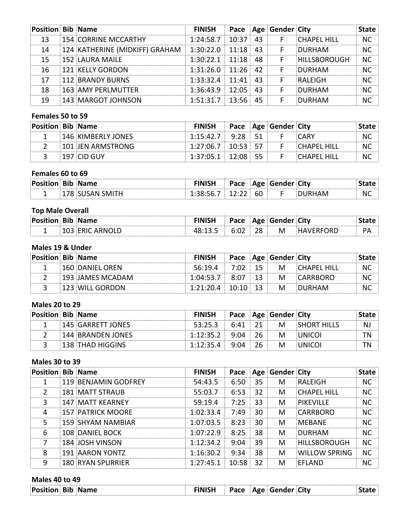| <b>Position Bib Name</b> |                                                         | <b>FINISH</b>          |          |    | Pace   Age   Gender   City |                     | late |
|--------------------------|---------------------------------------------------------|------------------------|----------|----|----------------------------|---------------------|------|
| 13                       | <b>154 CORRINE MCCARTHY</b>                             | $1:24:58.7$ 10:37 43   |          |    | - F                        | <b>CHAPFL HILL</b>  | NC.  |
| 14                       | 124 KATHERINE (MIDKIFF) GRAHAM   1:30:22.0   11:18   43 |                        |          |    |                            | DURHAM              | NC   |
| 15                       | <b>152 LAURA MAILE</b>                                  | $1:30:22.1$ 11:18      |          | 48 |                            | <b>HILLSBOROUGH</b> | ΝC   |
| 16                       | <b>121 KELLY GORDON</b>                                 | $1:31:26.0$ $11:26$ 42 |          |    |                            | DURHAM              | NC   |
| 17                       | 112 BRANDY BURNS                                        | $1:33:32.4$ 11:41      |          | 43 |                            | <b>RAIFIGH</b>      | NС   |
| 18                       | 163 AMY PERLMUTTER                                      | $1:36:43.9$ 12:05      |          |    |                            | DURHAM              | NC   |
| 19                       | 143 MARGOT JOHNSON                                      | 1:51:31.7              | $-13:56$ |    |                            | DURHAM              |      |

### Females 50 to 59

| <b>Position Bib Name</b> |                    | <b>FINISH</b>              |  | <b>Pace Age Gender City</b> |             |  |
|--------------------------|--------------------|----------------------------|--|-----------------------------|-------------|--|
|                          | 146 KIMBERLY JONES | $1:15:42.7$ $9:28$ 51      |  |                             |             |  |
|                          | 101 JFN ARMSTRONG  | $1:27:06.7$   $10:53$   57 |  |                             | `HAPFI HIII |  |
|                          | 197 CID GUY        | $1:37:05.1$ 12:08 55       |  |                             |             |  |

### Females 60 to 69

| <b>Position Bib Name</b> |                 | <b>FINISH</b>              |  | <b>Pace Age Gender City</b> |           |
|--------------------------|-----------------|----------------------------|--|-----------------------------|-----------|
|                          | 178 SUSAN SMITH | $1:38:56.7$   $12:22$   60 |  |                             | <b>NC</b> |

### **Top Male Overall**

| <b>Position Bib Name</b> |  |  |     | Pace Age Gender City |            |  |
|--------------------------|--|--|-----|----------------------|------------|--|
|                          |  |  | 28: | M                    | )RI<br>. . |  |

### **Males 19 & Under**

| <b>Position Bib Name</b> |                         | <b>FINISH</b>                     |  | <b>Pace Age Gender City</b> |                                  |           |
|--------------------------|-------------------------|-----------------------------------|--|-----------------------------|----------------------------------|-----------|
|                          | <b>160 DANIEL OREN</b>  |                                   |  |                             | $56:19.4$ 7:02 15 M CHAPFL HILL  | <b>NC</b> |
|                          | $\pm 193$ JAMES MCADAM. |                                   |  |                             | $1:04:53.7$ $8:07$ 13 M CARRBORO | NC.       |
|                          | <b>E123 WILL GORDON</b> | $1:21:20.4$ $10:10$ $13$ M DURHAM |  |                             |                                  | NC.       |

#### **Males 20 to 29**

| <b>Position Bib Name</b> |                          | <b>FINISH</b>       |          | <b>Pace Age Gender City</b><br> |                    |  |
|--------------------------|--------------------------|---------------------|----------|---------------------------------|--------------------|--|
|                          | <b>145 GARRETT JONES</b> | 53.25.3             |          | M                               | <b>SHORT HILLS</b> |  |
|                          | <b>144 BRANDEN JONES</b> | $1:12:35.2$ 9:04 26 |          | M                               |                    |  |
|                          | <b>138 THAD HIGGINS</b>  | 1:12:35.4           | 9:04:26: | M                               |                    |  |

#### **Males 30 to 39**

| <b>Position Bib Name</b> |                          | <b>FINISH</b> |          |    | Pace   Age   Gender   City |                     | <b>State</b> |
|--------------------------|--------------------------|---------------|----------|----|----------------------------|---------------------|--------------|
| 1                        | 119 BENJAMIN GODFREY     | 54:43.5       | 6:50     | 35 | м                          | RALFIGH             | <b>NC</b>    |
| $\mathcal{P}$            | <b>181 MATT STRAUB</b>   | 55:03.7       | 6:53     | 32 | М                          | <b>CHAPEL HILL</b>  | NC.          |
| 3                        | $147$ MATT KEARNEY       | 59:19.4       | 7:25     | 33 | м                          | <b>PIKEVILLE</b>    | NC.          |
| 4                        | <b>157 PATRICK MOORE</b> | 1:02:33.4     | 7:49     | 30 | м                          | CARRBORO            | NC.          |
| 5                        | 159 SHYAM NAMBIAR        | 1:07:03.5     | 8:23     | 30 | м                          | MERANE              | NC.          |
| 6                        | 108 DANIEL BOCK          | 1:07:22.9     | 8:25     | 38 | м                          | DURHAM              | NC.          |
|                          | 184 JOSH VINSON          | 1:12:34.2     | 9:04     | 39 | М                          | <b>HILLSBOROUGH</b> | NС           |
| 8                        | 191 AARON YONTZ          | 1:16:30.2     | 9:34     | 38 | М                          | WILLOW SPRING       | NC.          |
| 9                        | <b>180 RYAN SPURRIER</b> | 1:27:45.1     | $-10:58$ | 32 | М                          | <b>FFI AND</b>      | NC.          |

## **Males 40 to 49**

| ിP∩<br>Name<br>вк | Dace<br>$\sim$ and the set of $\sim$<br>- | ---<br>$\Delta$ 00 .<br>a Gen.<br>. í Ar<br>. . | ∶Citv |  |
|-------------------|-------------------------------------------|-------------------------------------------------|-------|--|
|                   |                                           |                                                 |       |  |